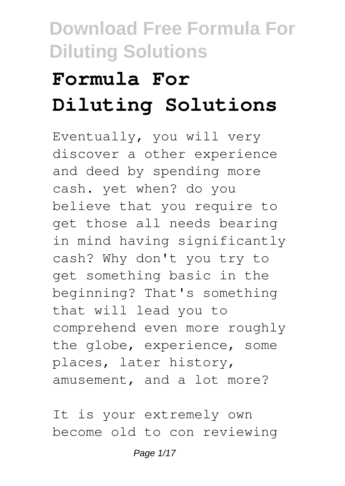# **Formula For Diluting Solutions**

Eventually, you will very discover a other experience and deed by spending more cash. yet when? do you believe that you require to get those all needs bearing in mind having significantly cash? Why don't you try to get something basic in the beginning? That's something that will lead you to comprehend even more roughly the globe, experience, some places, later history, amusement, and a lot more?

It is your extremely own become old to con reviewing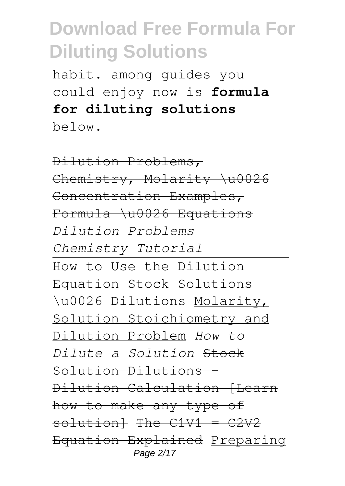habit. among guides you could enjoy now is **formula for diluting solutions** below.

Dilution Problems, Chemistry, Molarity \u0026 Concentration Examples, Formula \u0026 Equations *Dilution Problems - Chemistry Tutorial* How to Use the Dilution Equation Stock Solutions \u0026 Dilutions Molarity, Solution Stoichiometry and Dilution Problem *How to Dilute a Solution* Stock Solution Dilutions Dilution Calculation (Learn how to make any type of solution} The  $C1V1 = C2V2$ Equation Explained Preparing Page 2/17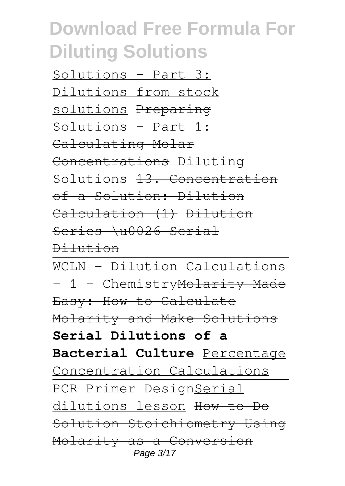Solutions - Part 3: Dilutions from stock solutions Preparing  $Solution - Part 1:$ Calculating Molar Concentrations Diluting Solutions <del>13. Concentration</del> of a Solution: Dilution Calculation (1) Dilution Series \u0026 Serial

Dilution

WCLN - Dilution Calculations - 1 - Chemistry Molarity Made Easy: How to Calculate Molarity and Make Solutions **Serial Dilutions of a Bacterial Culture** Percentage Concentration Calculations PCR Primer DesignSerial dilutions lesson How to Do Solution Stoichiometry Using Molarity as a Conversion Page 3/17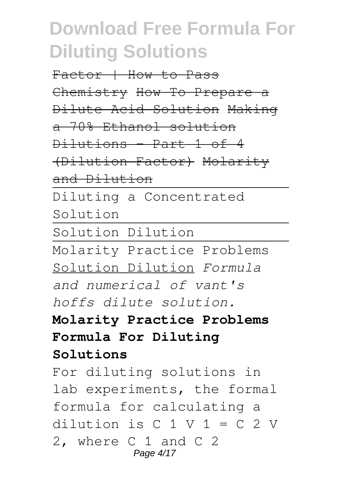Factor | How to Pass Chemistry How To Prepare a Dilute Acid Solution Making a 70% Ethanol solution Dilutions - Part 1 of 4 (Dilution Factor) Molarity and Dilution Diluting a Concentrated Solution Solution Dilution Molarity Practice Problems Solution Dilution *Formula and numerical of vant's hoffs dilute solution.* **Molarity Practice Problems Formula For Diluting Solutions** For diluting solutions in lab experiments, the formal formula for calculating a dilution is  $C_1 V_1 = C_2 V$ 2, where C 1 and C 2 Page 4/17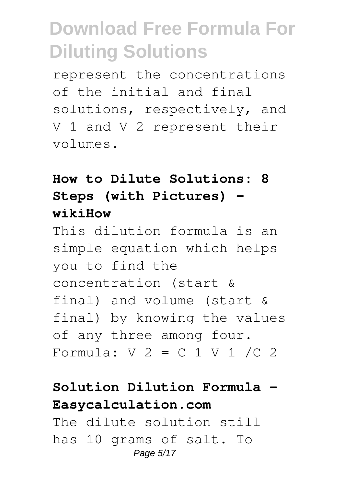represent the concentrations of the initial and final solutions, respectively, and V 1 and V 2 represent their volumes.

### **How to Dilute Solutions: 8 Steps (with Pictures) wikiHow**

This dilution formula is an simple equation which helps you to find the concentration (start & final) and volume (start & final) by knowing the values of any three among four. Formula:  $V$  2 = C 1 V 1 /C 2

### **Solution Dilution Formula - Easycalculation.com**

The dilute solution still has 10 grams of salt. To Page 5/17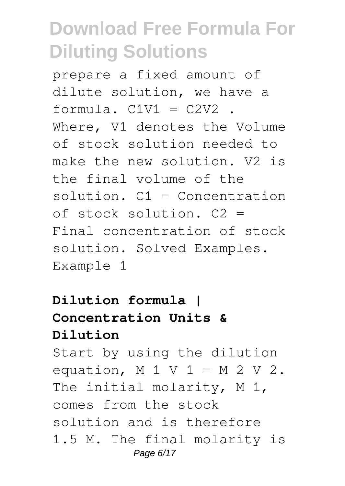prepare a fixed amount of dilute solution, we have a formula.  $C1V1 = C2V2$ . Where, V1 denotes the Volume of stock solution needed to make the new solution. V2 is the final volume of the solution. C1 = Concentration of stock solution. C2 = Final concentration of stock solution. Solved Examples. Example 1

### **Dilution formula | Concentration Units & Dilution**

Start by using the dilution equation,  $M 1 V 1 = M 2 V 2$ . The initial molarity, M 1, comes from the stock solution and is therefore 1.5 M. The final molarity is Page 6/17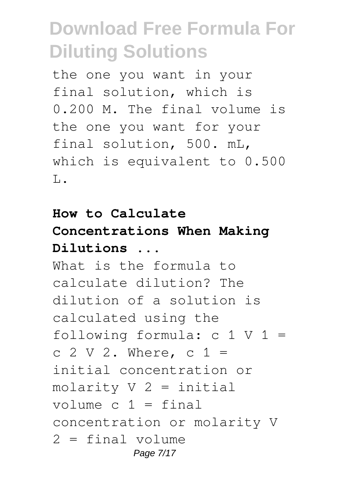the one you want in your final solution, which is 0.200 M. The final volume is the one you want for your final solution, 500. mL, which is equivalent to 0.500  $\mathsf{T}_{\mathsf{L}}$ .

### **How to Calculate Concentrations When Making Dilutions ...**

What is the formula to calculate dilution? The dilution of a solution is calculated using the following formula:  $c 1 V 1 =$ c  $2 \text{ V } 2$ . Where, c  $1 =$ initial concentration or molarity  $V$  2 = initial volume  $c$  1 = final concentration or molarity V 2 = final volume Page 7/17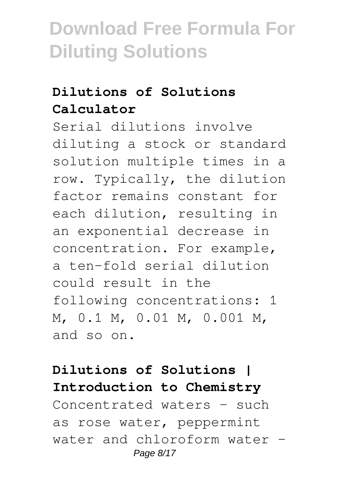### **Dilutions of Solutions Calculator**

Serial dilutions involve diluting a stock or standard solution multiple times in a row. Typically, the dilution factor remains constant for each dilution, resulting in an exponential decrease in concentration. For example, a ten-fold serial dilution could result in the following concentrations: 1 M, 0.1 M, 0.01 M, 0.001 M, and so on.

**Dilutions of Solutions | Introduction to Chemistry** Concentrated waters – such as rose water, peppermint water and chloroform water – Page 8/17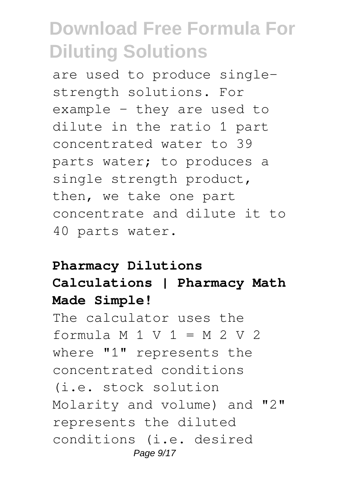are used to produce singlestrength solutions. For example – they are used to dilute in the ratio 1 part concentrated water to 39 parts water; to produces a single strength product, then, we take one part concentrate and dilute it to 40 parts water.

#### **Pharmacy Dilutions**

### **Calculations | Pharmacy Math Made Simple!**

The calculator uses the formula  $M 1 V 1 = M 2 V 2$ where "1" represents the concentrated conditions (i.e. stock solution Molarity and volume) and "2" represents the diluted conditions (i.e. desired Page 9/17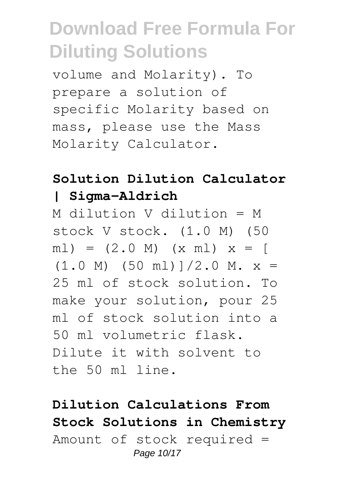volume and Molarity). To prepare a solution of specific Molarity based on mass, please use the Mass Molarity Calculator.

### **Solution Dilution Calculator | Sigma-Aldrich**

M dilution V dilution = M stock V stock. (1.0 M) (50  $ml$ ) =  $(2.0 \text{ M})$   $(x \text{ ml})$   $x =$  [  $(1.0 \text{ M})$   $(50 \text{ ml})$   $1/2.0 \text{ M}$ .  $x =$ 25 ml of stock solution. To make your solution, pour 25 ml of stock solution into a 50 ml volumetric flask. Dilute it with solvent to the 50 ml line.

### **Dilution Calculations From Stock Solutions in Chemistry** Amount of stock required = Page 10/17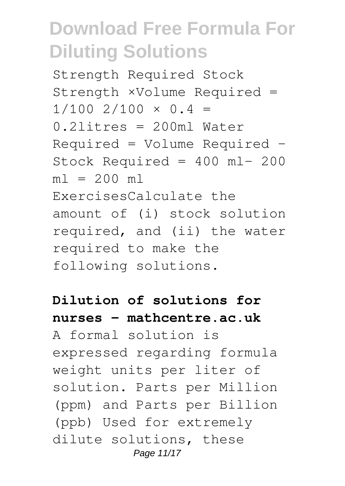Strength Required Stock Strength ×Volume Required =  $1/100$  2/100  $\times$  0.4 = 0.2litres = 200ml Water Required = Volume Required − Stock Required = 400 ml− 200  $ml = 200 ml$ ExercisesCalculate the amount of (i) stock solution required, and (ii) the water required to make the following solutions.

### **Dilution of solutions for nurses - mathcentre.ac.uk**

A formal solution is expressed regarding formula weight units per liter of solution. Parts per Million (ppm) and Parts per Billion (ppb) Used for extremely dilute solutions, these Page 11/17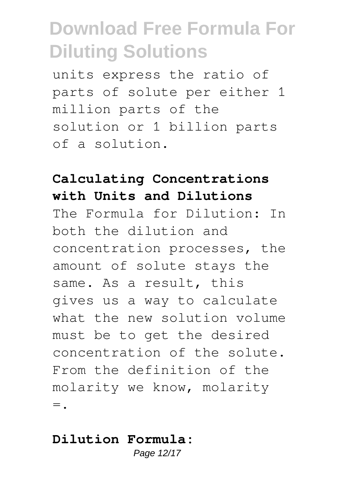units express the ratio of parts of solute per either 1 million parts of the solution or 1 billion parts of a solution.

### **Calculating Concentrations with Units and Dilutions**

The Formula for Dilution: In both the dilution and concentration processes, the amount of solute stays the same. As a result, this gives us a way to calculate what the new solution volume must be to get the desired concentration of the solute. From the definition of the molarity we know, molarity  $=$ .

#### **Dilution Formula:**

Page 12/17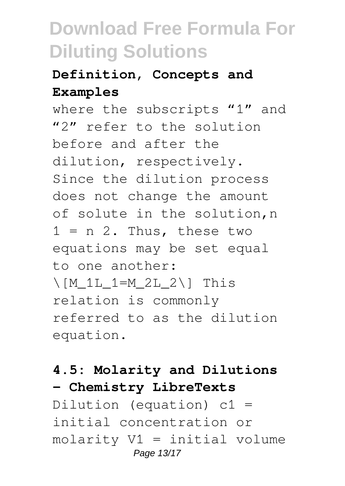### **Definition, Concepts and Examples**

where the subscripts "1" and "2" refer to the solution before and after the dilution, respectively. Since the dilution process does not change the amount of solute in the solution,n  $1 = n 2$ . Thus, these two equations may be set equal to one another:  $\Gamma_{\text{M}}$  1L 1=M 2L 2 $\Gamma$  This relation is commonly referred to as the dilution equation.

#### **4.5: Molarity and Dilutions - Chemistry LibreTexts**

Dilution (equation) c1 = initial concentration or molarity V1 = initial volume Page 13/17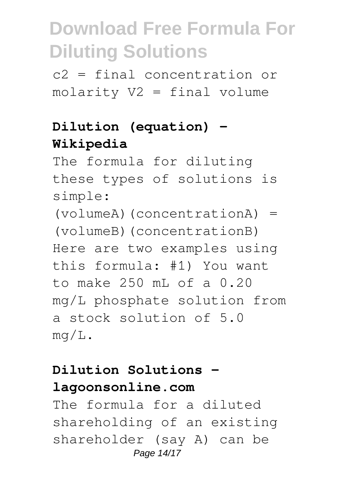c2 = final concentration or molarity V2 = final volume

### **Dilution (equation) - Wikipedia**

The formula for diluting these types of solutions is simple:

(volumeA)(concentrationA) = (volumeB)(concentrationB) Here are two examples using this formula: #1) You want to make 250 mL of a 0.20 mg/L phosphate solution from a stock solution of 5.0 mg/L.

#### **Dilution Solutions lagoonsonline.com**

The formula for a diluted shareholding of an existing shareholder (say A) can be Page 14/17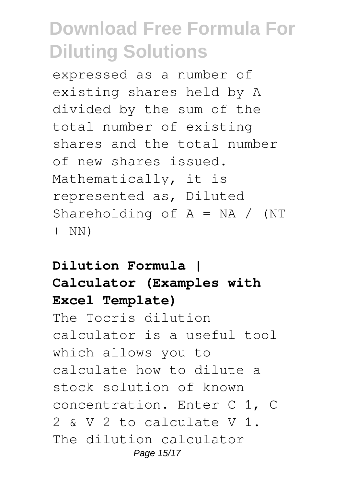expressed as a number of existing shares held by A divided by the sum of the total number of existing shares and the total number of new shares issued. Mathematically, it is represented as, Diluted Shareholding of  $A = NA / (NT)$ + NN)

### **Dilution Formula | Calculator (Examples with Excel Template)**

The Tocris dilution calculator is a useful tool which allows you to calculate how to dilute a stock solution of known concentration. Enter C 1, C 2 & V 2 to calculate V 1. The dilution calculator Page 15/17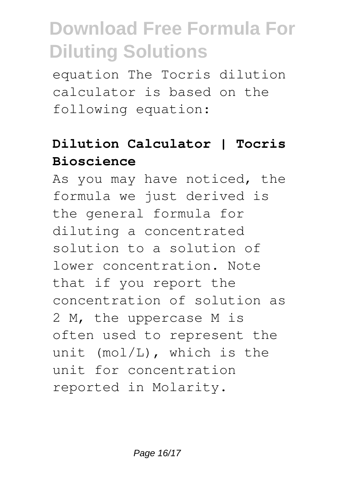equation The Tocris dilution calculator is based on the following equation:

### **Dilution Calculator | Tocris Bioscience**

As you may have noticed, the formula we just derived is the general formula for diluting a concentrated solution to a solution of lower concentration. Note that if you report the concentration of solution as 2 M, the uppercase M is often used to represent the unit (mol/L), which is the unit for concentration reported in Molarity.